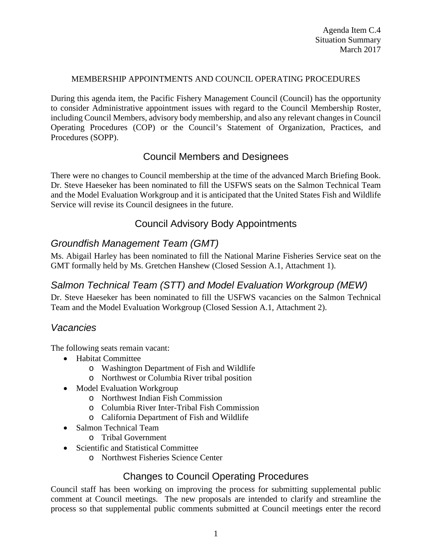#### MEMBERSHIP APPOINTMENTS AND COUNCIL OPERATING PROCEDURES

During this agenda item, the Pacific Fishery Management Council (Council) has the opportunity to consider Administrative appointment issues with regard to the Council Membership Roster, including Council Members, advisory body membership, and also any relevant changes in Council Operating Procedures (COP) or the Council's Statement of Organization, Practices, and Procedures (SOPP).

## Council Members and Designees

There were no changes to Council membership at the time of the advanced March Briefing Book. Dr. Steve Haeseker has been nominated to fill the USFWS seats on the Salmon Technical Team and the Model Evaluation Workgroup and it is anticipated that the United States Fish and Wildlife Service will revise its Council designees in the future.

# Council Advisory Body Appointments

### *Groundfish Management Team (GMT)*

Ms. Abigail Harley has been nominated to fill the National Marine Fisheries Service seat on the GMT formally held by Ms. Gretchen Hanshew (Closed Session A.1, Attachment 1).

# *Salmon Technical Team (STT) and Model Evaluation Workgroup (MEW)*

Dr. Steve Haeseker has been nominated to fill the USFWS vacancies on the Salmon Technical Team and the Model Evaluation Workgroup (Closed Session A.1, Attachment 2).

### *Vacancies*

The following seats remain vacant:

- Habitat Committee
	- o Washington Department of Fish and Wildlife
	- o Northwest or Columbia River tribal position
- Model Evaluation Workgroup
	- o Northwest Indian Fish Commission
	- o Columbia River Inter-Tribal Fish Commission
	- o California Department of Fish and Wildlife
- Salmon Technical Team
	- o Tribal Government
- Scientific and Statistical Committee
	- o Northwest Fisheries Science Center

## Changes to Council Operating Procedures

Council staff has been working on improving the process for submitting supplemental public comment at Council meetings. The new proposals are intended to clarify and streamline the process so that supplemental public comments submitted at Council meetings enter the record